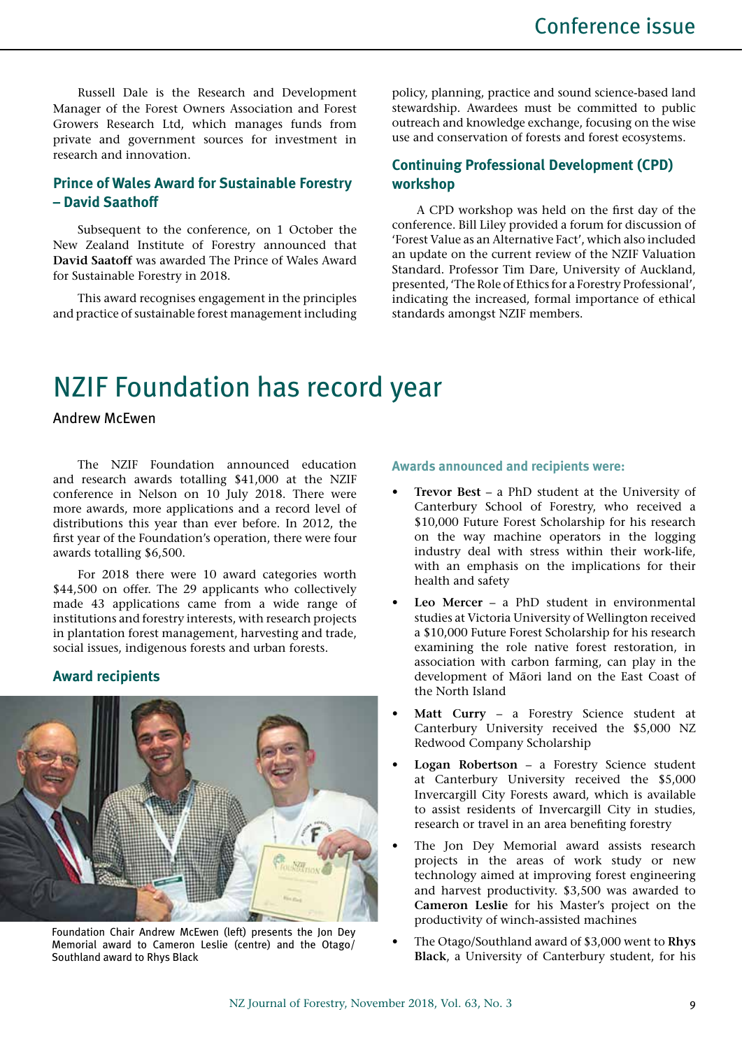Russell Dale is the Research and Development Manager of the Forest Owners Association and Forest Growers Research Ltd, which manages funds from private and government sources for investment in research and innovation.

## **Prince of Wales Award for Sustainable Forestry – David Saathoff**

Subsequent to the conference, on 1 October the New Zealand Institute of Forestry announced that **David Saatoff** was awarded The Prince of Wales Award for Sustainable Forestry in 2018.

This award recognises engagement in the principles and practice of sustainable forest management including policy, planning, practice and sound science-based land stewardship. Awardees must be committed to public outreach and knowledge exchange, focusing on the wise use and conservation of forests and forest ecosystems.

## **Continuing Professional Development (CPD) workshop**

A CPD workshop was held on the first day of the conference. Bill Liley provided a forum for discussion of 'Forest Value as an Alternative Fact', which also included an update on the current review of the NZIF Valuation Standard. Professor Tim Dare, University of Auckland, presented, 'The Role of Ethics for a Forestry Professional', indicating the increased, formal importance of ethical standards amongst NZIF members.

# NZIF Foundation has record year

Andrew McEwen

The NZIF Foundation announced education and research awards totalling \$41,000 at the NZIF conference in Nelson on 10 July 2018. There were more awards, more applications and a record level of distributions this year than ever before. In 2012, the first year of the Foundation's operation, there were four awards totalling \$6,500.

For 2018 there were 10 award categories worth \$44,500 on offer. The 29 applicants who collectively made 43 applications came from a wide range of institutions and forestry interests, with research projects in plantation forest management, harvesting and trade, social issues, indigenous forests and urban forests.

## **Award recipients**



Foundation Chair Andrew McEwen (left) presents the Jon Dey Memorial award to Cameron Leslie (centre) and the Otago/ Southland award to Rhys Black

#### **Awards announced and recipients were:**

- **Trevor Best** a PhD student at the University of Canterbury School of Forestry, who received a \$10,000 Future Forest Scholarship for his research on the way machine operators in the logging industry deal with stress within their work-life, with an emphasis on the implications for their health and safety
- Leo Mercer a PhD student in environmental studies at Victoria University of Wellington received a \$10,000 Future Forest Scholarship for his research examining the role native forest restoration, in association with carbon farming, can play in the development of Māori land on the East Coast of the North Island
- Matt Curry a Forestry Science student at Canterbury University received the \$5,000 NZ Redwood Company Scholarship
- **Logan Robertson** a Forestry Science student at Canterbury University received the \$5,000 Invercargill City Forests award, which is available to assist residents of Invercargill City in studies, research or travel in an area benefiting forestry
- The Jon Dey Memorial award assists research projects in the areas of work study or new technology aimed at improving forest engineering and harvest productivity. \$3,500 was awarded to **Cameron Leslie** for his Master's project on the productivity of winch-assisted machines
- The Otago/Southland award of \$3,000 went to **Rhys Black**, a University of Canterbury student, for his